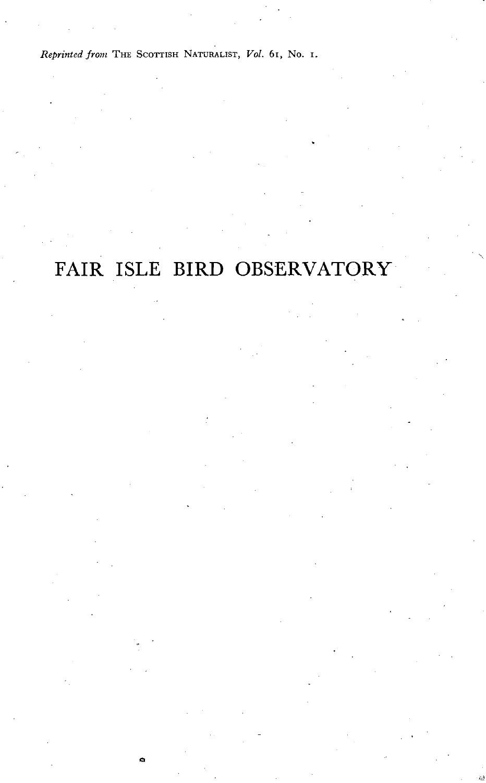*Reprinted from* THE SCOTTISH NATURALIST, *Vol.* 61, No. I.

# **FAIR ISLE BIRD OBSERVATORY**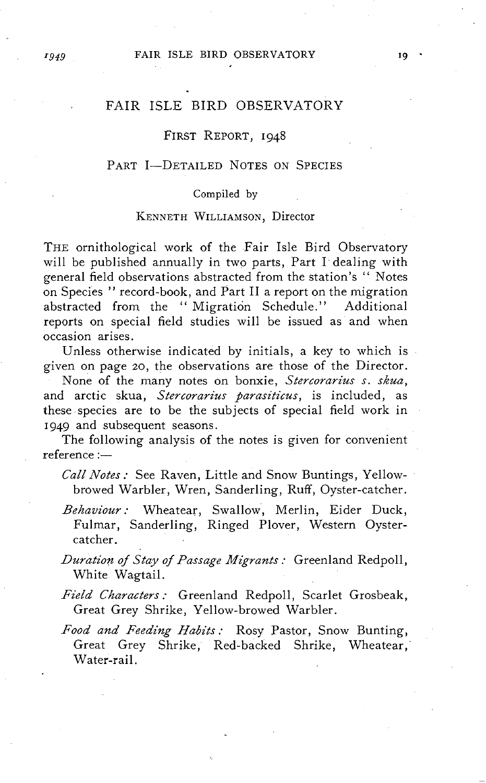#### *I949* **FAIR ISLE BIRD OBSERVATORY 19**

# FAIR ISLE BIRD OBSERVATORY

# FIRST REPORT, 1948

# PART I-DETAILED NOTES ON SPECIES

#### Compiled by

# KENNETH WILLIAMSON, Director

THE ornithological work of the Fair Isle Bird Observatory will be published annually in two parts, Part I' dealing with general field observations abstracted from the station's "Notes on Species" record-book, and Part II a report on the migration abstracted from the "Migration Schedule." Additional reports on special field studies will be issued as and when occasion arises.

Unless otherwise indicated by initials, a key to which is given on page 20, the observations are those of the Director.

None of the many notes on bonxie, *Stercorarius s. skua*, and arctic skua, Stercorarius parasiticus, is included, as these species are to be the subjects of special field work in 1949 and subsequent seasons.

The following analysis of the notes is given for convenient  $reference :=$ 

*Call Notes:* See Raven, Little and Snow Buntings, Yellowbrowed Warbler, Wren, Sanderling, Ruff, Oyster-catcher.

Behaviour: Wheatear, Swallow, Merlin, Eider Duck, Fulmar, Sanderling, Ringed Plover, Western Oystercatcher.

*Duration of Stay of Passage Migrants: Greenland Redpoll,* White Wagtail.

- Field Characters: Greenland Redpoll, Scarlet Grosbeak, Great Grey Shrike, Yellow-browed Warbler.
- Food and Feeding Habits: Rosy Pastor, Snow Bunting, Great Grey Shrike, Red-backed Shrike, Wheatear,' Water-rail.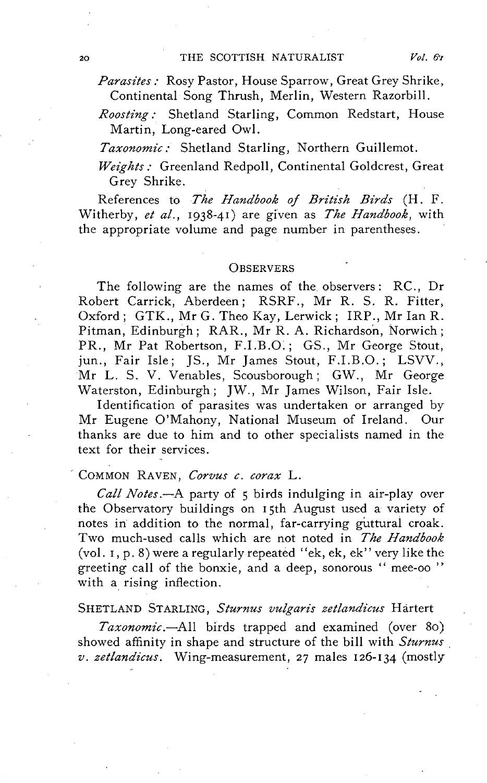Parasites: Rosy Pastor, House Sparrow, Great Grey Shrike, Continental Song Thrush, Merlin, Western Razorbill.

*Roosting:* Shetland Starling, Common Redstart, House Martin, Long-eared Owl.

*Taxonomic,'* Shetland Starling, Northern Guillemot.

*Weights,'* Greenland Redpoll, Continental Goldcrest, Great Grey Shrike.

References to *The Handbook of British Birds* (H. F. Witherby, *et al.,* 1938-41) are given as *The Handbook,* with the appropriate volume and page number in parentheses.

# **OBSERVERS**

The following are the names of the. observers: RC., Dr Robert Carrick, Aberdeen; RSRF., Mr R. S. R. Fitter, Oxford; GTK., Mr G. Theo Kay, Lerwick; IRP., Mr Ian R. Pitman, Edinburgh; RAR., Mr R. A. Richardson, Norwich; PR., Mr Pat Robertson, F.I.B.O.; GS., Mr George Stout, jun., Fair Isle; JS., Mr James Stout, F.I.B.O.; LSVV., Mr L. S. V. Venables, Scousborough; GW., Mr George Waterston, Edinburgh; JW., Mr James Wilson, Fair Isle.

Identification of parasites was undertaken or arranged by Mr Eugene O'Mahony, National Museum of Ireland. Our thanks are due to him and to other specialists named in the text for their services.

# <sup>~</sup>COMMON RAVEN, *Corvus c. corax* L.

*Call Notes* .-A party of 5 birds indulging in air-play over the Observatory buildings on 15th August used a variety of notes in addition to the normal, far-carrying guttural croak. Two much-used calls which are not noted in *The Handbook*  (vol. I, p. 8) were a regularly repeated "ek, ek, ek" very like the greeting call of the bonxie, and a deep, sonorous " mee-oo " with a rising inflection.

# SHETLAND STARLING, *Sturnus vulgaris zetlandicus* Hartert

*Taxonomic.-All* birds trapped and examined (over 80) showed affinity in shape and structure of the bill with *Sturnus . v. zetlandicus.* Wing-measurement, 27 males 126-134 (mostly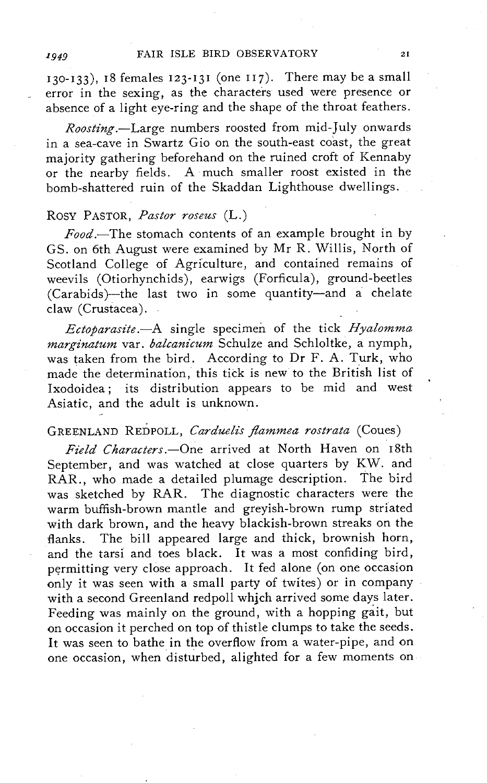130-133), 18 females 123-131 (one 117). There may be a small error in the sexing, as the characters used were presence or absence of a light eye-ring and the shape of the throat feathers.

*Roosting.*-Large numbers roosted from mid-July onwards in a sea-cave in Swartz Gio on the south-east coast, the great majority gathering beforehand on the ruined croft of Kennaby or the nearby fields. A much smaller roost existed in the bomb-shattered ruin of the Skaddan Lighthouse dwellings.

# Rosy PASTOR, *Pastor roseus* (L.)

*Food.-The* stomach contents of an example brought in by GS. on 6th August were examined by Mr R. Willis, North of Scotland College of Agriculture, and contained remains of weevils (Otiorhynchids), earwigs (Forficula), ground-beetles (Carabids)-the last two in some quantity-and a chelate claw (Crustacea).

Ectoparasite.--A single specimen of the tick *Hyalomma marginatum* var. *balcanicum* Schulze and Schloltke, a nymph, was taken from the bird. According to Dr F. A. Turk, who made the determination, this tick is new to the British list of Ixodoidea; its distribution appears to be mid and west Asiatic, and the adult is unknown.

# GREENLAND REDPOLL, *Carduelis flammea rostrata* (Coues)

Field Characters.-One arrived at North Haven on 18th September, and was watched at close quarters by KW. and RAR., who made a detailed plumage description. The bird was sketched by RAR. The diagnostic characters were the warm buffish-brown mantle and greyish-brown rump striated with dark brown, and the heavy blackish-brown streaks on the flanks. The bill appeared large and thick, brownish horn, and the tarsi and toes black. It was a most confiding bird, permitting very close approach. It fed alone (on one occasion only it was seen with a small party of twites) or in company with a second Greenland redpoll which arrived some days later. Feeding was mainly on the ground, with a hopping gait, but on occasion it perched on top of thistle clumps to take the seeds. It was seen to bathe in the overflow from a water-pipe, and on one occasion, when disturbed, alighted for a few moments on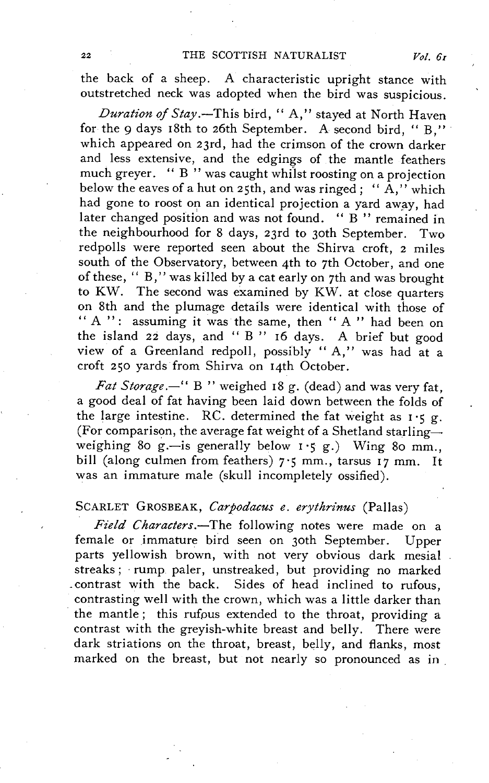the back of a sheep. A characteristic upright stance with outstretched neck was adopted when the bird was suspicious.

*Duration of Stay.-This* bird, " A," stayed at North Haven for the 9 days 18th to 26th September. A second bird, "B," which appeared on 23rd, had the crimson of the crown darker and less extensive, and the edgings of the mantle feathers much greyer. " $B''$  was caught whilst roosting on a projection below the eaves of a hut on 25th, and was ringed; " $\overrightarrow{A}$ ," which had gone to roost on an identical projection a yard away, had later changed position and was not found. "B" remained in the neighbourhood for 8 days, 23rd to 30th September. Two redpolls were reported seen about the Shirva croft, 2 miles south of the Observatory, between 4th to 7th October, and one of these, " B," was killed by a cat early on 7th and was brought to KW. The second was examined by KW. at close quarters on 8th and the plumage details were identical with those of " A ": assuming it was the same, then " A " had been on the island 22 days, and " B " 16 days. A brief but good view of a Greenland redpoll, possibly "A," was had at a croft 2 50 yards from Shirva on 14th October.

*Fat Storage.*-" B " weighed 18 g. (dead) and was very fat, a good deal of fat having been laid down between the folds of the large intestine. RC. determined the fat weight as  $1 \cdot 5$  g. (For comparison, the average fat weight of a Shetland starlingweighing 80 g.-is generally below  $1 \cdot 5$  g.) Wing 80 mm. bill (along culmen from feathers) 7.5 mm., tarsus 17 mm. It was an immature male (skull incompletely ossified).

# SCARLET GROSBEAK, *Carpodacus e. erythrinus* (Pallas)

*Field Characters.-The* following notes were made on a female or immature bird seen on 30th September. Upper parts yellowish brown, with not very obvious dark mesial streaks; rump paler, unstreaked, but providing no marked contrast with the back. Sides of head inclined to rufous, contrasting well with the crown, which was a little darker than the mantle; this rufous extended to the throat, providing a contrast with the greyish-white breast and belly. There were dark striations on the throat, breast, belly, and flanks, most marked on the breast, but not nearly so pronounced as in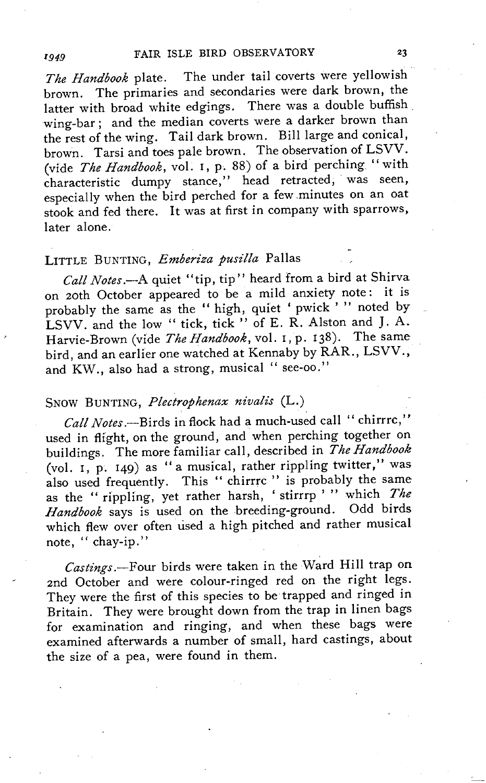*The Handbook* plate. The under tail coverts were yellowish brown. The primaries and secondaries were dark brown, the latter with broad white edgings. There was a double buffish. wing-bar; and the median coverts were a darker brown than the rest of the wing. Tail dark brown. Bill large and conical, brown. Tarsi and toes pale brown. The observation of LSVV. (vide *The Handbook,* vo!. I, p. 88) of a bird perching "with characteristic dumpy stance," head retracted, was seen, especially when the bird perched for a few minutes on an oat stook and fed there. It was at first in company with sparrows, later alone.

# LITTLE BUNTING, *Emberiza pusilla* Pallas

*Call Notes.-A* quiet "tip, tip" heard from a bird at Shirva on 20th October appeared to be a mild anxiety note: it is probably the same as the " high, quiet 'pwick ' " noted by LSVV. and the low " tick, tick " of E. R. Alston and J. A. Harvie-Brown (vide *The Handbook*, vol. 1, p. 138). The same bird, and an earlier one watched at Kennaby by RAR., LSVV., and KW., also had a strong, musical " see-oo."

# SNOW BUNTING, *Plectrophenax nivalis* (L.)

*Call Notes.-Birds* in flock had a much-used call" chirrrc," used in flight, on the ground, and when perching together on buildings. The more familiar call, described in *The Handbook*  (vo!. I, p. 149) as "a musical, rather rippling twitter," was also used frequently. This " chirrre" is probably the same as the "rippling, yet rather harsh, 'stirrrp' " which *The Handbook* says is used on the breeding-ground. Odd birds which flew over often used a high pitched and rather musical note, " chay-ip."

Castings.-Four birds were taken in the Ward Hill trap on 2nd October and were colour-ringed red on the right legs. They were the first of this species to be trapped and ringed in Britain. They were brought down from the trap in linen bags for examination and ringing, and when these bags were examined afterwards a number of small, hard castings, about the size of a pea, were found in them.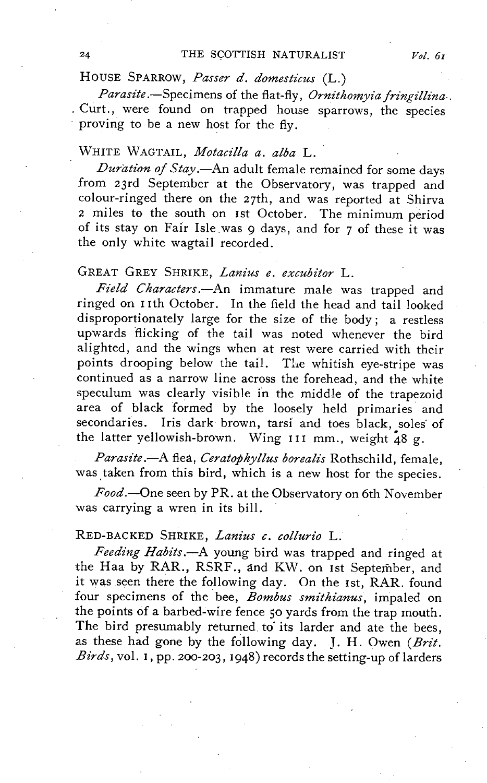HOUSE SPARROW, Passer d. domesticus (L.)

*Parasite* .- Specimens of the flat-fly, *Ornithomyia fringillina*. . Curt., were found on trapped house sparrows, the species proving to be a new host for the fly.

# WHITE WAGTAIL, *Motacilla a. alba* L.

*Dura#on oj Stay.-An* adult female remained for some days from 23rd September at the Observatory, was trapped and colour-ringed there on the 27th, and was reported at Shirva 2 miles to the south on 1st October. The minimum period of its stay on Fair Isle.was 9 days, and for 7 of these it was the only white wagtail recorded.

# GREAT GREY SHRIKE, *Lanius e. excubitor* L.

Field Characters.-An immature male was trapped and ringed on 11th October. **In** the field the head and tail looked disproportionately large for the size of the body; a restless upwards flicking of the tail was noted whenever the bird alighted, and the wings when at rest were carried with their points drooping below the tail. The whitish eye-stripe was continued as a narrow line across the forehead, and the white speculum was clearly visible in the middle of the trapezoid area of black formed by the loosely held primaries and secondaries. Iris dark brown, tarsi and toes black, soles of the latter yellowish-brown. Wing **III** mm., weight 48 g.

*Parasz"te.-A* flea, *Ceratophyllus borealz"s* Rothschild, female, was taken from this bird, which is a new host for the species.

*Food.-One* seen by PR. at the Observatory on 6th November was carrying a wren in its bill.

# RED-BACKED SHRIKE, *Lanius c. collurio* L.

Feeding Habits.--A young bird was trapped and ringed at the Haa by RAR., RSRF., and KW. on 1st September, and it was seen there the following day. On the 1st, RAR. found four specimens of the bee, *Bombus smithianus*, impaled on the points of a barbed-wire fence 50 yards from the trap mouth. The bird presumably returned to its larder and ate the bees, as these had gone by the following day. J. H. Owen *(Brit. Birds,* vol. I, pp. 200-203, 1948) records the setting-up of larders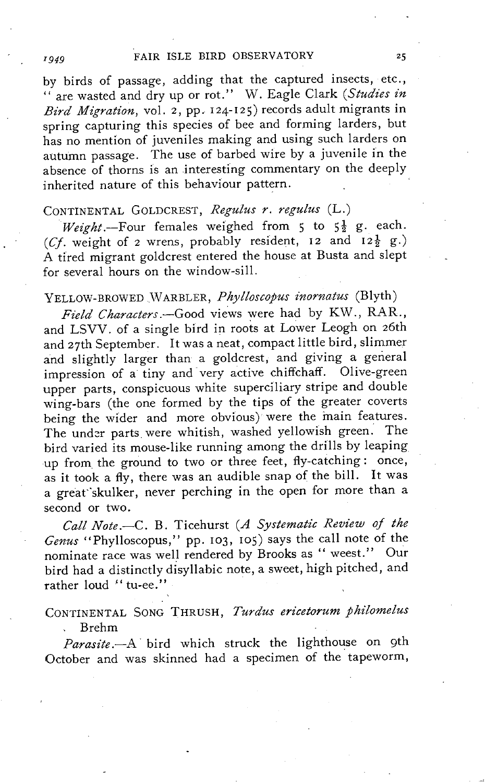by birds of passage, adding that the captured insects, etc., " are wasted and dry up or rot." W. Eagle Clark *(Studies in Bird Migration,* vol. 2, pp. 124-12S) records adult migrants in spring capturing this species of bee and forming larders, but has no mention of juveniles making and using such larders on autumn passage. The use of barbed wire by a juvenile in the absence of thorns is an interesting commentary on the deeply inherited nature of this behaviour pattern.

# CONTINENTAL GOLDCREST, *Regulus r. regulus* (L.)

*Weight.*-Four females weighed from 5 to  $5\frac{1}{2}$  g. each. (Cf. weight of 2 wrens, probably resident, 12 and  $12\frac{1}{2}$  g.) A tired migrant goldcrest entered the house at Busta and slept for several hours on the window-sill.

# YELLOW-BROWEDWARBLER, *Phylloscopus inornatus* (Blyth)

*Field Characters.-Good* views were had by KW., RAR., and LSVV. of a single bird in roots at Lower Leogh on 26th and 27th September. It was a neat, compact little bird, slimmer and slightly larger than a goldcrest, and giving a general impression of a tiny and very active chiffchaff. Olive-green upper parts, conspicuous white superciliary stripe and double wing-bars (the one formed by the tips of the greater coverts being the wider and more obvious) were the main features. The under parts were whitish, washed yellowish green. The bird varied its mouse-like running among the drills by leaping up from the ground to two or three feet, fly-catching: once, as it took a fly, there was an audible snap of the bill. It was a great"skulker, never perching in the open for more than a second or two.

Call Note.-C. B. Ticehurst (A Systematic Review of the *Genus* "Phylloscopus," pp. 103, roS) says the call note of the nominate race was well rendered by Brooks as " weest." Our bird had a distinctly disyllabic note, a sweet, high pitched, and rather loud " tu-ee."

# CONTINENTAL SONG THRUSH, *Turdus ericetorum philomelus* Brehm

*Parasite.-A·* bird which struck the lighthouse on 9th October and was skinned had a specimen of the' tapeworm,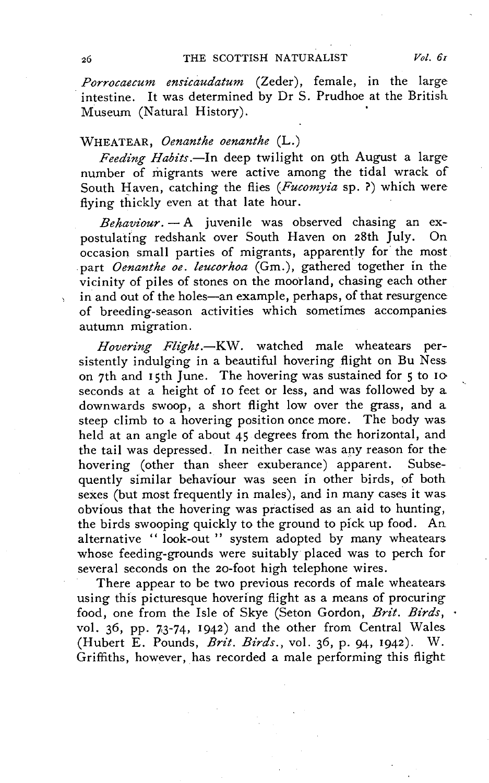*Porrocaecum ensicaudatum* (Zeder), female, in the large intestine. It was determined by Dr S. Prudhoe at the British Museum (Natural History).

# WHEATEAR, *Oenanthe oenanthe* (L.)

*Feeding Habits.-In* deep twilight on 9th August a large number of migrants were active among the tidal wrack of South Haven, catching the flies *(Fucomyia* sp. ?) which were flying thickly even at that late hour.

*Behaviour.* - A juvenile was observed chasing an expostulating redshank over South Haven on 28th July. On occasion. small parties of migrants, apparently for the most part *Oenanthe oe. leucorhoa* (Gm.), gathered together in the vicinity of piles of stones on the moorland, chasing each other in and out of the holes-an example, perhaps, of that resurgence of breeding-season activities which sometimes accompanies, autumn migration.

*Hovering Flight.*-KW. watched male wheatears persistently indulging in a beautiful hovering flight on Bu Ness on 7th and 15th June. The hovering was sustained for 5 to 10 seconds at a height of 10 feet or less, and was followed by a downwards swoop, a short flight low over the grass, and a steep climb to a hovering position once more. The body was held at an angle of about 45 degrees from the horizontal, and the tail was depressed. In neither case was any reason for the hovering (other than sheer exuberance) apparent. Subsehovering (other than sheer exuberance) apparent. quently similar behaviour was seen in other birds, of both sexes (but most frequently in males), and in many cases it was obvious that the hovering was practised as an aid to hunting, the birds swooping quickly to the ground to pick up food. An alternative "look-out" system adopted by many wheatears whose feeding-grounds were suitably placed was to perch for several seconds on the 20-foot high telephone wires.

There appear to be two previous records of male wheatears using this picturesque hovering flight as a means of procuring food, one from the Isle of Skye (Seton Gordon, *Brit. Birds*,  $\cdot$ vol. 36, pp. 7,3-74, 1942) and the other from Central Wales (Hubert E. Pounds, *Byz't. Birds.,* vol. 36, p. 94, 1942), W, Griffiths, however, has recorded a male performing this flight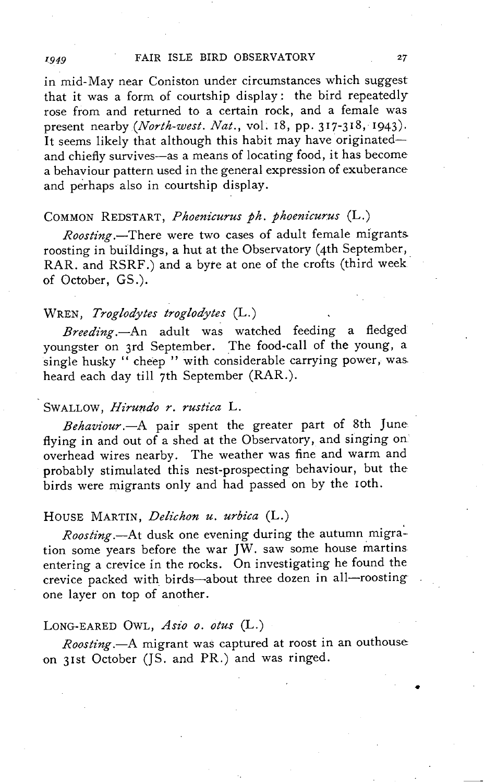in mid-May near Coniston under circumstances which suggest that it was a form of courtship display: the bird repeatedly rose from and returned to a certain rock, and a female was present nearby *(North-west. Nat.,* vol. 18, pp. 317-318, 1943). It seems likely that although this habit may have originatedand chiefly survives-as a means of locating food, it has become a behaviour pattern used in the general expression of exuberance and perhaps also in courtship display.

# COMMON REDSTART, *Phoenicurus ph. phoenicurus* (L.)

*Roosting.-There* were two cases of adult female migrants. roosting in buildings, a hut at the Observatory (4th September, RAR. and RSRF.) and a byte at one of the crofts (third weekof October, GS.).

# WREN, *Troglodytes troglodytes* (L.)

*Breeding.-An* adult was watched feeding a fledged youngster on 3rd September. The food-call of the young, a single husky " cheep " with considerable carrying power, was heard each day till 7th September (RAR.).

# SWALLOW, *Hirundo r. rustica* L.

*Behaviour.-A* pair spent the greater part of 8th June flying in and out of a shed at the Observatory, and singing on overhead wires nearby. The weather was fine and warm and probably stimulated this nest-prospecting behaviour, but the birds were migrants only and had passed on by the 10th.

# HOUSE MARTIN, *Delichon u. urbica* (L.)

Roosting.-At dusk one evening during the autumn migration some years before the war JW. saw some house martins entering a crevice in the rocks. On investigating he found the crevice packed with birds-about three dozen in all-roosting one layer on top of another.

# LONG-EARED OWL, Asio o. otus (L.)

*Roosting.-A* migrant was captured at roost in an outhouse on 31st October (JS. and PR.) and was ringed.

•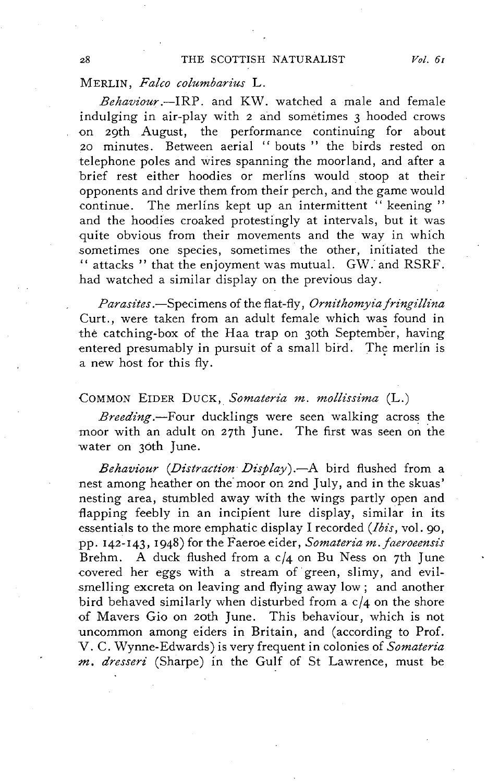# MERLIN, *Falco columbarius* L.

*Behaviour.-IRP.* and KW. watched a male and female indulging in air-play with 2 and sometimes 3 hooded crows on 29th August, the performance continuing for about 20 minutes. Between aerial "bouts" the birds rested on telephone poles and wires spanning the moorland, and after a brief rest either hoodies or merlins would stoop at their opponents and drive them from their perch, and the game would continue. The merlins kept up an intermittent " keening" and the hoodies croaked protestingly at intervals, but it was quite obvious from their movements and the way in which sometimes one species, sometimes the other, initiated the " attacks" that the enjoyment was mutual. GW: and RSRF. had watched a similar display on the previous day.

*Parasites* .-Specimens of the flat-fly, *Ornithomyia jringillina*  Curt., were taken from an adult female which was found in the catching-box of the Haa trap on 30th September, having entered presumably in pursuit of a small bird. The merlin is a new host for this fly.

# COMMON EIDER DUCK, Somateria m. mollissima (L.)

*Breeding.-Four* ducklings were seen walking across the moor with an adult on  $27$ th June. The first was seen on the water on 30th June.

*Behaviour (Distraction Display).*-A bird flushed from a nest among heather on the moor on 2nd July, and in the skuas' nesting area, stumbled away with the wings partly open and flapping feebly in an incipient lure display, similar in its essentials to the more emphatic display I recorded *(Ibis,* vol. 90, pp. 142-143, 1948) for the Faeroe eider, *Somateria m.jaeroeensis*  Brehm. A duck flushed from a c/4 on Bu Ness on 7th June covered her eggs with a stream of green, slimy, and evilsmelling excreta on leaving and flying away low; and another bird behaved similarly when disturbed from a c/4 on the shore of Mavers Gio on 20th June. This behaviour, which is not uncommon among eiders in Britain, and (according to Prof. V. C. Wynne-Edwards) is very frequent in colonies of *Somateria m. dresseri* (Sharpe) in the Gulf of St Lawrence, must be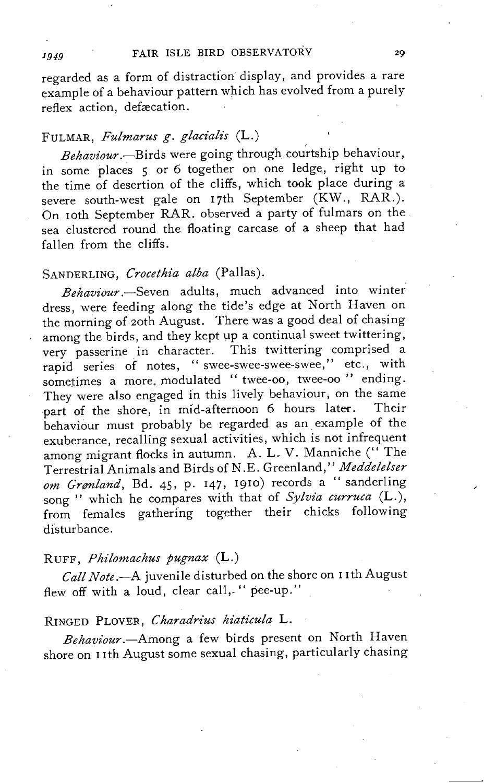regarded as a form of distraction display, and provides a rare example of a behaviour pattern which has evolved from a purely reflex action, defacation.

# FULMAR, Fulmarus g. glacialis (L.)

Behaviour.-Birds were going through courtship behaviour, in some places 5 or 6 together on one ledge, right up to the time of desertion of the cliffs, which took place during a severe south-west gale on 17th September (KW., RAR.). On 10th September RAR. observed a party of fulmars on the sea clustered round the floating carcase of a sheep that had fallen from the cliffs.

# SANDERLING, Crocethia alba (Pallas).

*Behaviour.-Seven* adults, much advanced into winter dress, were feeding along the tide's edge at North Haven on the morning of 20th August. There was a good deal of chasing among the birds, and they kept up a continual sweet twittering, very passerine in character. This twittering comprised a rapid series of notes, "swee-swee-swee-swee," etc., with sometimes a more. modulated "twee-oo, twee-oo" ending. They were also engaged in this lively behaviour, on the same part of the shore, in mid-afternoon 6 hours later. Their behaviour must probably be regarded as an example of the exuberance, recalling sexual activities, which is not infrequent among migrant flocks in autumn. A. L. V. Manniche ("The Terrestrial Animals and Birds of N .E. Greenland," *Meddelelser om Grenland,* Bd. 45, p. 147, 1910) records a " sanderling song " which he compares with that of *Sylvia curruca* (L.), from females gathering together their chicks following disturbance.

# RUFF, Philomachus pugnax (L.)

Call Note.--A juvenile disturbed on the shore on 11th August flew off with a loud, clear call,-" pee-up."

# RINGED PLOVER, *Charadrius Maticula* L.

*Behaviour.-Among* a few birds present on North Haven shore on 11th August some sexual chasing, particularly chasing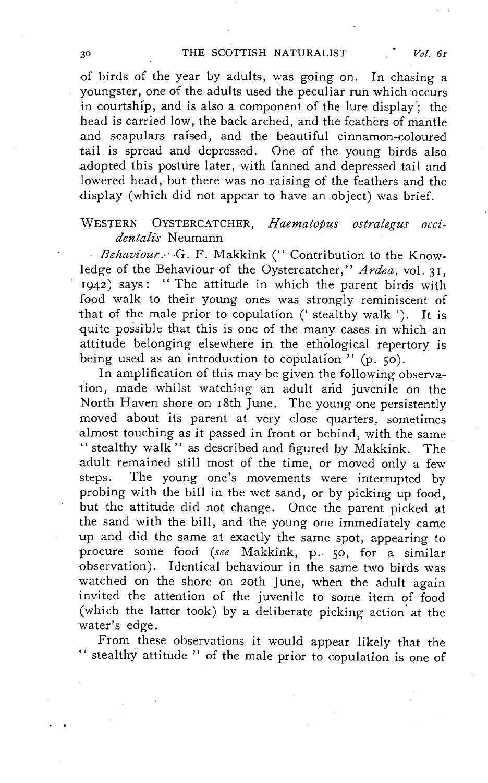of birds of the year by adults, was going on. In chasing a youngster, one of the adults used the peculiar run which occurs in courtship, and is also a component of the lure display; the head is carried low, the back arched, and the feathers of mantle and scapulars raised, and the beautiful cinnamon-coloured tail is spread and depressed. One of the young birds also adopted this posture later, with fanned and depressed tail and lowered head, but there was no raising of the feathers and the display (which did not appear to have an object) was brief.

# WESTERN OYSTERCATCHER, *Haematopus ostralegus occidentalis* Neumann

Behaviour. - G. F. Makkink ("Contribution to the Knowledge of the Behaviour of the Oystercatcher," *Ardea,* vol. 31, 1942) says: "The attitude in which the parent birds with food walk to their young ones was strongly reminiscent of that of the male prior to copulation (' stealthy walk '). It is quite possible that this is one of the many cases in which an attitude belonging elsewhere in the ethological repertory is being used as an introduction to copulation" (p. 50).

In amplification of this may be given the following observation, made whilst watching an adult arid juvenile on the North Haven shore on 18th June. The young one persistently moved about its parent at very close quarters, sometimes 'almost touching as it passed in front or behind, with the same " stealthy walk" as described and figured by Makkink. The adult remained still most of the time, or moved only a few steps. The young one's movements were interrupted by probing with the bill in the wet sand, or by picking up food, but the attitude did not change. Once the parent picked at the sand with the bill, and the young one immediately came up and did the same at exactly the same spot, appearing to procure some food *(see* Makkink, p., 50, for a similar observation). Identical behaviour in the same two birds was watched on the shore on 20th June, when the adult again invited the attention of the juvenile to some item of food (which the latter took) by a deliberate picking action at the water's edge.

From these observations it would appear likely that the " stealthy attitude" of the male prior to copulation is one of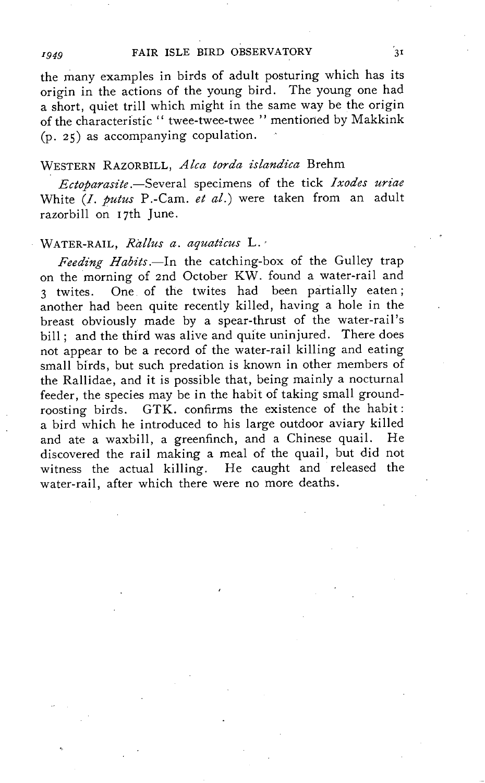the many examples in birds of adult posturing which has its origin in the actions of the young bird. The young one had a short, quiet trill which might in the same way be the origin of the characteristic" twee-twee-twee " mentioned by Makkink (p. 25) as accompanying copulation.

# WESTERN RAZORBILL, *Alca torda islandica* Brehm

*Ectoparasite.-Several* specimens of the tick *Ixodes uriae*  White *(I. putus* P.-Cam. *et al.)* were taken from an adult razorbill on 17th June.

# WATER-RAIL, Rallus a. aquaticus L.

*Feeding Habits.-In* the catching-box of the Gulley trap on the morning of 2nd October KW. found a water-rail and 3 twites. One of the twites had been partially eaten; another had been quite recently killed, having a hole in the breast obviously made by a spear-thrust of the water-rail's bill: and the third was alive and quite uninjured. There does not appear to be a record of the water-rail killing and eating small birds, but such predation is known in other members of the Rallidae, and it is possible that, being mainly a nocturnal feeder, the species may be in the habit of taking small groundroosting birds. GTK. confirms the existence of the habit: a bird which he introduced to his large outdoor aviary killed and ate a waxbill, a greenfinch, and a Chinese quail. He discovered the rail making a meal of the quail, but did not witness the actual killing. He caught and released the water-rail, after which there were no more deaths.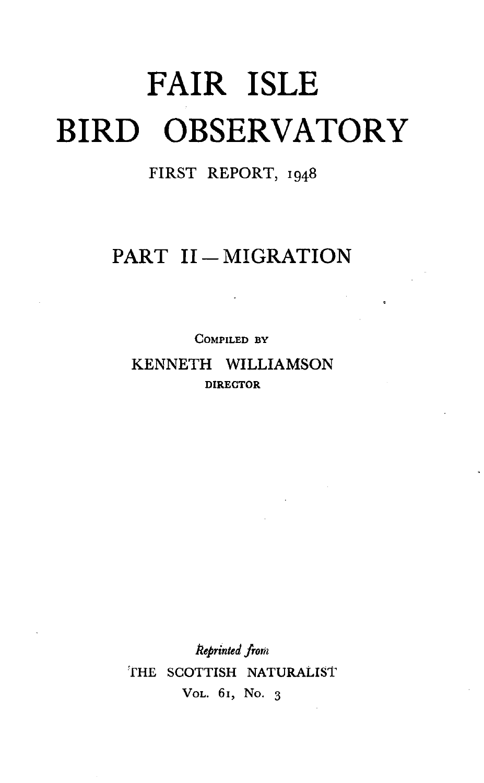# **FAIR ISLE BIRD OBSERVATORY**

# FIRST REPORT, 1948

# PART II-MIGRATION

COMPILED BY KENNETH WILLIAMSON DIRECTOR

*1l.eprinted from*  THE SCOTTISH NATURALIST VOL. 61, No. 3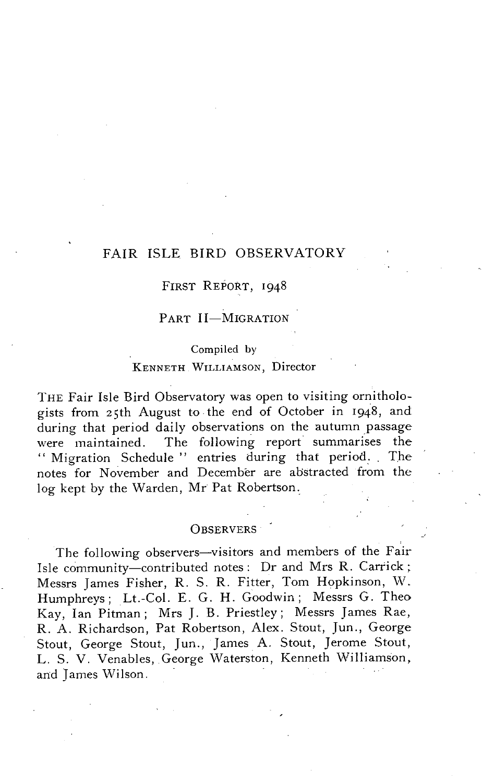# FAIR ISLE BIRD OBSERVATORY

# FIRST REPORT, 1948

# PART II-MIGRATION

# Compiled by

# KENNETH WILLIAMSON, Director

THE Fair Isle Bird Observatory was open to visiting ornithologists from 25th August to the end of October in 1948, and during that period daily observations on the autumn yassage were maintained. The following report summarises the " Migration Schedule" entries during that period. The notes for November and December are abstracted from the log kept by the Warden, Mr Pat Robertson.

# OBSERVERS .

The following observers-visitors and members of the Fair Isle community-contributed notes: Dr and Mrs R. Carrick; Messrs James Fisher, R. S. R. Fitter, Tom Hopkinson, \V. Humphreys; Lt.-Col. E. G. H. Goodwin; Messrs G. Theo Kay, Ian Pitman; Mrs J. B. Priestley; Messrs James Rae, R. A. Richardson, Pat Robertson, Alex. Stout, Jun., George Stout, George Stout, Jun., James A. Stout, Jerome Stout, L. S. V. Venables, George Waterston, Kenneth Williamson, and James Wilson. .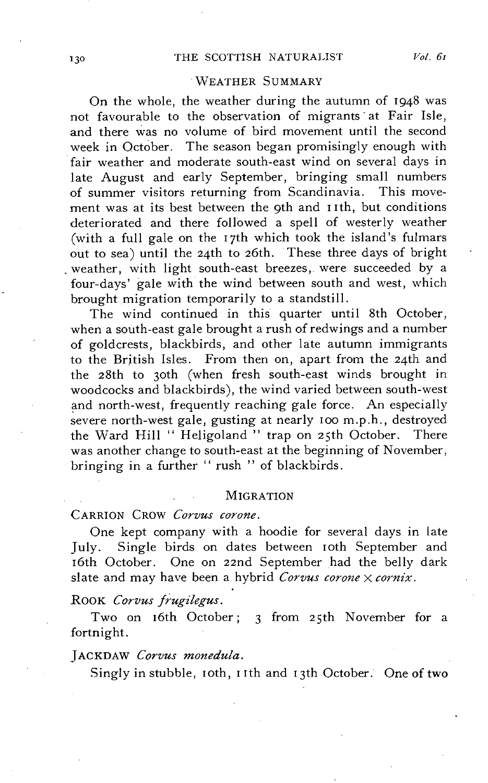# WEATHER SUMMARY

On the whole, the weather during the autumn of 1948 was not favourable to the observation of migrants' at Fair Isle, and there was no volume of bird movement until the second week in October. The season began promisingly enough with fair weather and moderate south-east wind on several days in late August and early September, bringing small numbers of summer visitors returning from Scandinavia. This movement was at its best between the 9th and I Ith, but conditions deteriorated and there followed a spell of westerly weather (with a full gale on the 17th which took the island's fulmars out to sea) until the 24th to 26th. These three days of bright weather, with light south-east breezes, were succeeded by a four-days' gale with the wind between south and west, which brought migration temporarily to a standstill.

The wind continued in this quarter until 8th October, when a south-east gale brought a rush of redwings and a number of goldcrests, blackbirds, and other late autumn immigrants to the British Isles. From then on, apart from the 24th and the 28th to 30th (when fresh south-east winds brought in woodcocks and blackbirds), the wind varied between south-west and north-west, frequently reaching gale force. An especially severe north-west gale, gusting at nearly 100 m.p.h., destroyed the Ward Hill "Heligoland" trap on 25th October. There was another change to south-east at the beginning of November, bringing in a further " rush " of blackbirds.

#### **MIGRATION**

# CARRION CROW *Corvus corone.*

One kept company with a hoodie for several days in late July. Single birds on dates between 10th September and 16th October. One on 22nd September had the belly dark slate and may have been a hybrid *Corvus corone*  $\times$  *cornix*.

# ROOK *Corvus Jrugilegus.*

Two on 16th October; 3 from 25th November for a fortnight.

#### JACKDAW *Corvus monedula.*

Singly in stubble, 10th, 11th and 13th October. One of two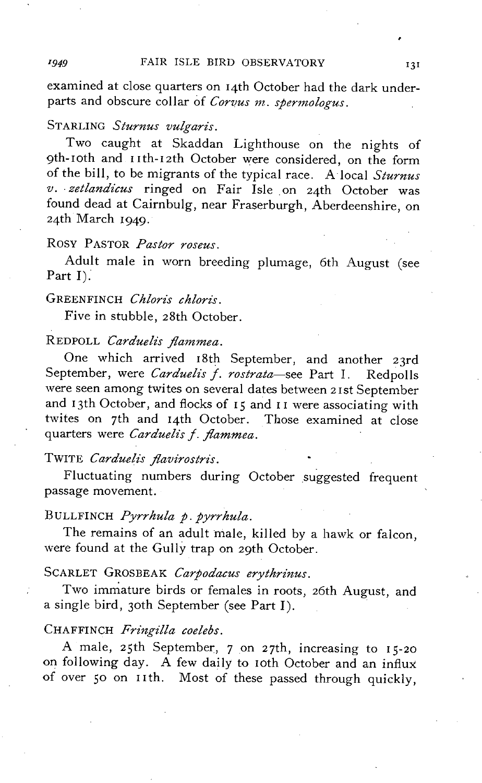examined at close quarters on 14th October had the dark underparts and obscure collar of *Corvus m. spermologus.* 

# STARLING *Sturnus vulgaris.*

Two caught at Skaddan Lighthouse on the nights of 9th-IOth and IIth-I2th October were considered, on the form of the bill, to be migrants of the typical race. A local *Sturnus v .* . *zetlandicus* ringed on Fair Isle on 24th October was found dead at Cairnbulg, near Fraserburgh, Aberdeenshire, on 24th March I949.

# Rosy PASTOR *Pastor roseus.*

Adult male in worn breeding plumage, 6th August (see Part I):

# GREENFINCH *Chloris chloris.*

Five in stubble, 28th October.

# REDPOLL *Carduelis flammea.*

One which arrived I8th September, and another 23rd September, were *Carduelis f. rostrata*-see Part I. Redpolls were seen among twites on several dates between 2Ist September and 13th October, and flocks of 15 and 11 were associating with twites on 7th and 14th October. Those examined at close quarters were *Carduelis f. flammea.* 

# TWITE *Carduelis flavirostris.*

Fluctuating numbers during October suggested frequent passage movement.

# BULLFINCH *Pyrrhula p. pyrrhula.*

The remains of an adult male, killed by a hawk or falcon, were found at the Gully trap on 29th October.

# SCARLET GROSBEAK *Carpodacus erythrinus.*

Two immature birds or females in roots, 26th August, and a single bird, 30th September (see Part I).

# CHAFFINCH *Fringilla coelebs.*

A male, 25th September, 7 on 27th, increasing to I5-20 on following day. A few daily to IOth October and an influx of over 50 on IIth. Most of these passed through quickly,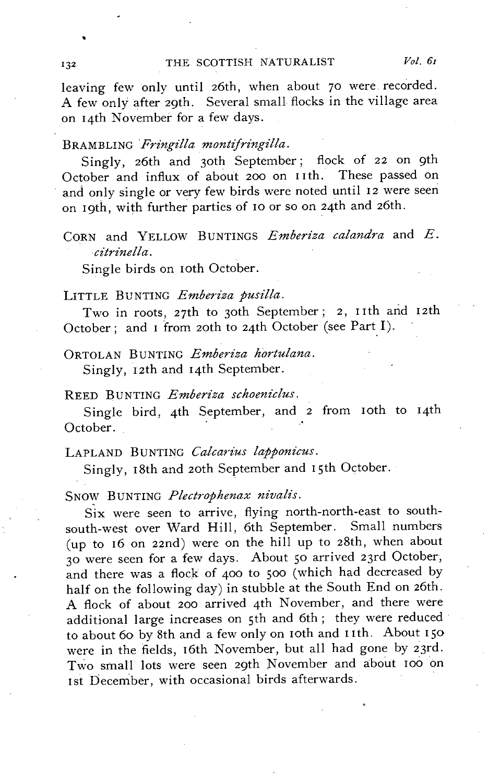leaving few only until 26th, when about 70 were recorded. A few only after 29th. Several small flocks in the village area on 14th November for a few days.

# BRAMBLING Fringilla montifringilla.

Singly, 26th and 30th September; flock of 22 on 9th October and influx of about 200 on 11th. These passed on and only single or very few birds were noted until 12 were seen on 19th, with further parties of 10 or so on 24th and 26th.

# CORN and YELLOW BUNTINGS *Emberiza calandra* and *E*. *citrinella.*

Single birds on roth October.

LITTLE BUNTING *Emberiza pusilla*.

Two in roots, 27th to 30th September; 2, 11th and 12th October; and I from 20th to 24th October (see Part I).

ORTOLAN BUNTING *Emberiza hortulana*. Singly, 12th and 14th September.

# REED BUNTING *Emberiza schoeniclus*.

Single bird, 4th September, and 2 from 10th to 14th October.

# LAPLAND BUNTING *Calcarius lapponicus*.

Singly, 18th and 20th September and 15th October.

SNOW BUNTING *Plectrophenax nivalis.* 

Six were seen to arrive, flying north-north-east to southsouth-west over Ward Hill, 6th September. Small numbers (up to 16 on 2znd) were on the hill up to 28th, when about 30 were seen for a few days. About 50 arrived 23rd October, and there was a flock of 400 to 500 (which had decreased by half on the following day) in stubble at the South End on 26th. A flock of about 200 arrived 4th November, and there were additional large increases on 5th and 6th; they were reduced to about 60 by 8th and a few only on 10th and 11th. About 150 were in the fields, 16th November, but all had gone by 23rd. Two small lots were seen 29th November and about 100 on Ist December, with occasional birds afterwards.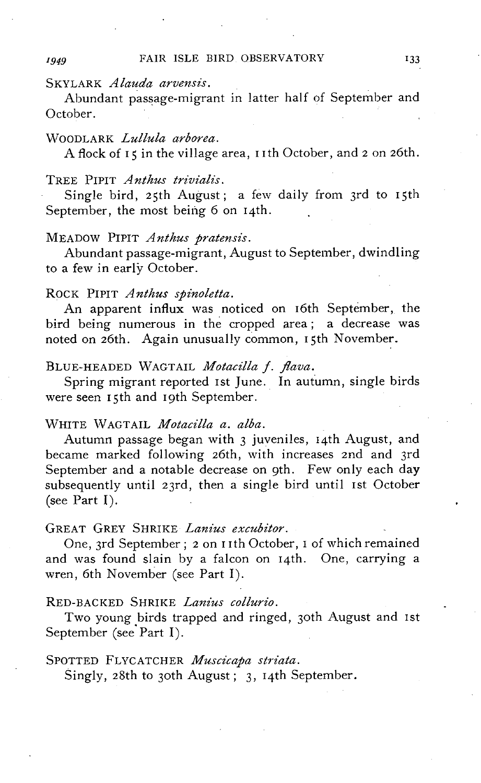# SKYLARK *Alauda arvensis.*

Abundant passage-migrant in latter half of September and October.

# 'WOODLARK *Lullula arborea.*

A flock of 15 in the village area, 11th October, and 2 on 26th.

### TREE PIPIT *A nthus trivialz"s.*

Single bird, 25th August; a few daily from 3rd to 15th September, the most being  $6$  on 14th.

# MEADOW PIPIT *A nthus pratensis.*

Abundant passage-migrant, August to September, dwindling to a few in early October.

# ROCK PIPIT *Anthus spinoletta.*

An apparent influx was noticed on 16th September, the bird being numerous in the cropped area; a decrease was noted on 26th. Again unusually common, 15th November.

# BLUE-HEADED WAGTAIL *Motacilla j. flava.*

Spring migrant reported 1st June. In autumn, single birds were seen 15th and 19th September.

# 'WHITE \VAGTAIL *Motacilla a. alba.*

Autumn passage began with 3 juveniles, I4th August, and became marked following 26th, with increases 2nd and 3rd September and a notable decrease on 9th. Few only each day subsequently until 23rd, then a single bird until 1st October (see Part I).

# GREAT GREY SHRIKE *Lanius excubitor.*

One, 3rd September; 2 on I Ith October, I of which remained and was found slain by a falcon on 14th. One, carrying a wren, 6th November (see Part I).

# RED-BACKED SHRIKE *Lanius collurio.*

Two young birds trapped and ringed, 30th August and Ist September (see Part I).

# SPOTTED FLYCATCHER *Muscicapa striata*.

Singly, 28th to 30th August; 3, 14th September.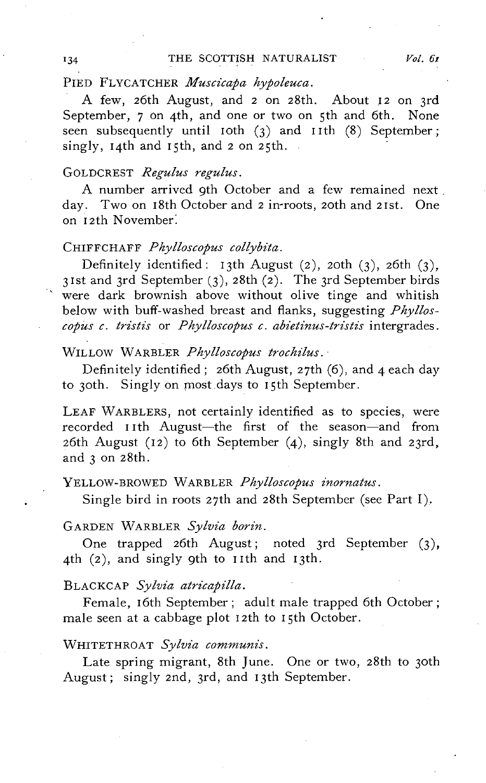# PIED FLYCATCHER *Muscicapa hypoleuca*.

A few, 26th August, and 2 on 28th. About 12 on 3rd September, 7 on 4th, and one or two on 5th and 6th. None seen subsequently until 10th  $(3)$  and 11th  $(8)$  September; singly, 14th and 15th, and 2 on 25th.

# GOLDCREST *Regulus regulus.*

A number arrived 9th October and a few remained next. day. Two on 18th October and 2 in-roots, 20th and 21st. One on 12th November:

#### CHIFFCHAFF *Phylloscopus collybita.*

Definitely identified: 13th August (2), 20th (3), 26th (3), 31st and 3rd September (3), 28th (2). The 3rd September birds were dark brownish above without olive tinge and whitish below with buff-washed breast and flanks, suggesting *Phylloscopus c. tristis* or *Phylloscopus c. abietinus-tristis* intergrades.

# WILLOW WARBLER *Phylloscopus trochzlus.·*

Definitely identified; 26th August, 27th (6), and 4 each day to 30th. Singly on most days to 15th September.

LEAF WARBLERS, not certainly identified as to species, were recorded IIth August-the first of the season-and from 26th August (12) to 6th September (4), singly 8th and 23rd, and 3 on 28th.

# YELLOW-BROWED WARBLER *Phylloscopus inornatus.*

Single bird in roots 27th and 28th September (see Part I).

# GARDEN WARBLER Sylvia borin.

One trapped 26th August; noted 3rd September (3), 4th (2), and singly 9th to 11th and 13th.

# BLACKCAP *Sylvia atricapilla.*

Female, 16th September; adult male trapped 6th October; male seen at a cabbage plot 12th to 15th October.

# WHITETHROAT *Sylvia communis.*

Late spring migrant, 8th June. One or two, 28th to 30th August; singly 2nd, 3rd, and 13th September.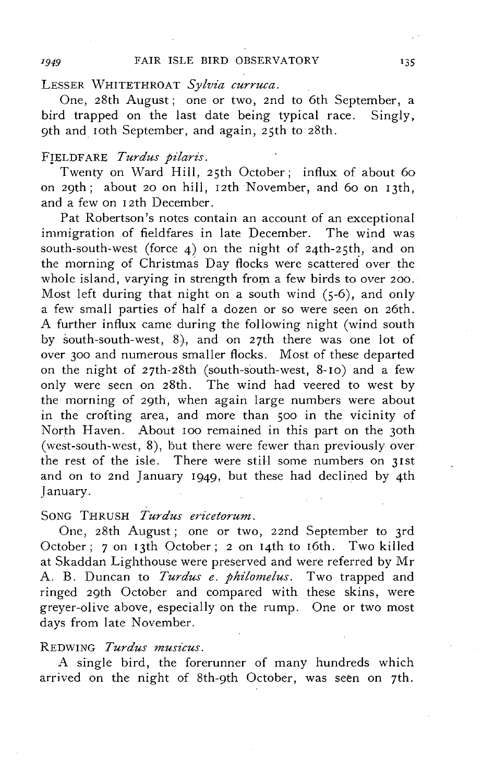# LESSER WHITETHROAT Sylvia curruca.

One, 28th August; one or two, 2nd to 6th September, a bird trapped on the last date being typical race. Singly, 9th and loth September, and again, 25th to 28th.

# FIELDFARE *Turdus pilaris*.

Twenty on Ward Hill, 25th October; influx of about 60 on 29th; about 20 on hill, 12th November, and 60 on 13th, and a few on 12th December.

Pat Robertson's notes contain an account of an exceptional immigration of fieldfares in late December. The wind was south-south-west (force 4) on the night of 24th-25th, and on the morning of Christmas Day flocks were scattered over the whole island, varying in strength from a few birds to over 200. Most left during that night on a south wind  $(5-6)$ , and only a few small parties of half a dozen or so were seen on 26th. A further influx came during the following night (wind south by south-south-west, 8), and on 27th there was one lot of over 300 and numerous smaller flocks. Most of these departed on the night of 27th-28th (south-south-west, 8-10) and a few only were seen on 28th. The wind had veered to west by the morning of 29th, when again large numbers were about in the crofting area, and more than 500 in the vicinity of North Haven. About 100 remained in this part on the 30th (west-south-west,  $8$ ), but there were fewer than previously over the rest of the isle. There were still some numbers on 3lst and on to 2nd January 1949, but these had declined by 4th January.

# SONG THRUSH *Turdus ericetorum*.

One, 28th August; one or two, 22nd September to 3rd October; 7 on 13th October; 2 on 14th to 16th. Two killed at Skaddan Lighthouse were preserved and were referred by Mr A. B. Duncan to *Turdus e. philomelus*. Two trapped and ringed 29th October and compared with these skins, were greyer-olive above, especially on the rump. One or two most days from late November.

# REDWING *Turdus musicus*.

A single bird, the forerunner of many hundreds which arrived on the night of 8th-9th October, was seen on 7th.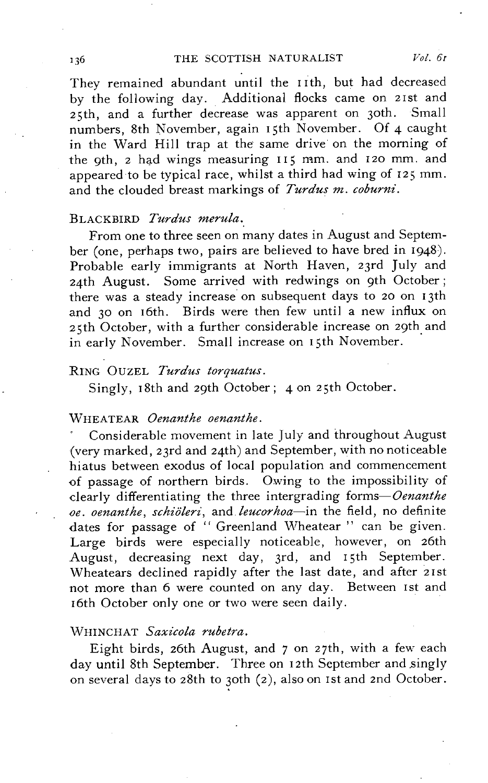They remained abundant until the I Ith, but had decreased by the following day. Additional flocks came on 21st and 25th, and a further decrease was apparent on 30th. Small numbers, 8th November, again 15th November. Of 4 caught in the Ward Hill trap at the same drive on the morning of the 9th, 2 had wings measuring  $115$  mm. and 120 mm. and appeared to be typical race, whilst a third had wing of 125 mm. and the clouded breast markings of *Turdus m. coburni*.

# BLACKBIRD *Turdus merula.*

From one to three seen on many dates in August and September (one, perhaps two, pairs are believed to have bred in 1948). Probable early immigrants at North Haven, 23rd July and 24th August. Some arrived with redwings on 9th October; there was a steady increase on subsequent days to 20 on 13th and 30 on 16th. Birds were then few until a new influx on 25th October, with a further considerable increase on 29th and in early November. Small increase on 15th November.

# RING OUZEL *Turdus torquatus.*

Singly, 18th and 29th October; 4 on 25th October.

# WHEATEAR *Oenanthe oenanthe*.

Considerable movement in late July and throughout August (very marked, 23rd and 24th) and September, with no noticeable hiatus between exodus of local population and commencement of passage of northern birds. Owing to the impossibility of clearly differentiating the three intergrading *forms-Oenanthe oe. oenanthe, schiiileri,* and *leucorhoa-in* the field, no definite dates for passage of " Greenland Wheatear " can be given. Large birds were especially noticeable, however, on 26th August, decreasing next day, 3rd, and 15th September. Wheatears declined rapidly after the last date, and after 21st not more than 6 were counted on any day. Between Ist and 16th October only one or two were seen daily.

# WHINCHAT *Saxicola rubetra*.

Eight birds, 26th August, and 7 on 27th, with a few each day until 8th September. Three on 12th September and singly on several days to 28th to 30th (2), also on 1st and 2nd October.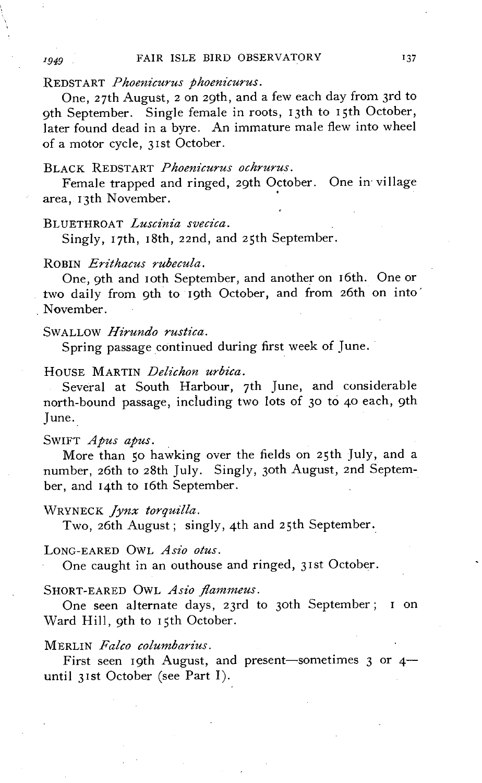# REDSTART *Phoenicurus phoenicurus.*

One, 27th August, 2 on 29th, and a few each day from 3rd to 9th September. Single female in roots, 13th to 15th October, later found dead in a byre. An immature male flew into wheel of a motor cycle, 31st October.

# BLACK REDSTART *Phoenicurus ochrurus.*

Female trapped and ringed, 29th October. One in village area, 13th November. .

# BLUETHROAT *Luscinia svecica*.

Singly, 17th, 18th, 22nd, and 25th September.

# ROBIN *Erithacus rubecula.*

One, oth and 10th September, and another on 16th. One or two daily from 9th to 19th October, and from 26th on into' November.

# SWALLOW *Hirundo rustica.*

Spring passage continued during first week of June.

# HOUSE MARTIN *Delichon urbica.*

Several at South Harbour, 7th June, and considerable north-bound passage, including two lots of 30 to 40 each, 9th June.

# SWIFT *Apus apus.*

More than 50 hawking over the fields on 25th July, and a number, 26th to 28th July. Singly, 30th August, 2nd September, and 14th to 16th September.

# WRYNECK *Jynx torquilla.*

Two, 26th August; singly, 4th and 25th September.

## LONG-EARED OWL Asio otus.

One caught in an outhouse and ringed, 31st October.

#### SHORT-EARED OWL *Asio flammeus.*

One seen alternate days, 23rd to 30th September; I on Ward Hill, 9th to 15th October.

# MERLIN *Falco columbarius.*

First seen 19th August, and present-sometimes  $3$  or  $4$ until 31st October (see Part I).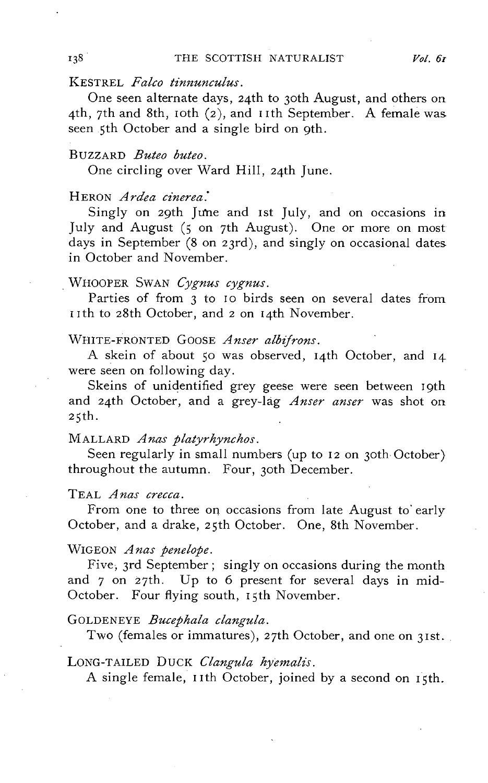# KESTREL *Falco tinnunculus*.

One seen alternate days, 24th to 30th August, and others on 4th, 7th and 8th, 10th  $(2)$ , and 11th September. A female was seen 5th October and a single bird on 9th.

# BUZZARD *Buteo buteo.*

One circling over Ward Hill, 24th June.

# HERON *Ardea cinerea*:

Singly on 29th June and 1st July, and on occasions in July and August (5 on 7th August). One or more on most days in September (8 on 23rd), and singly on occasional dates. in October and November.

# . WHOOPER SWAN *Cygnus cygnus.*

Parties of from 3 to 10 birds seen on several dates from 11th to 28th October, and 2 on 14th November.

# WHITE-FRONTED GOOSE *Anser albifrons*.

A skein of about 50 was observed, 14th October, and 14 were seen on following day.

Skeins of unidentified grey geese were seen between 19th and 24th October, and a grey-lag *Anser anser* was shot on  $25th.$ 

# MALLARD *Anas platyrhynchos.*

Seen regularly in small numbers (up to 12 on 30th October) throughout the autumn. Four, 30th December.

# TEAL *Anas crecca.*

From one to three on occasions from late August to' early October, and a drake, 25th October. One, 8th November.

# WIGEON *Anas penelope.*

Five, 3rd September; singly on occasions during the month and 7 on 27th. Up to 6 present for several days in mid-October. Four flying south, 15th November.

# GOLDENEYE *Bucephala clangula.*

Two (females or immatures), 27th October, and one on 31st.

# LONG-TAILED DUCK *Clangula hyemalis*.

A single female, 11th October, joined by a second on 15th.

138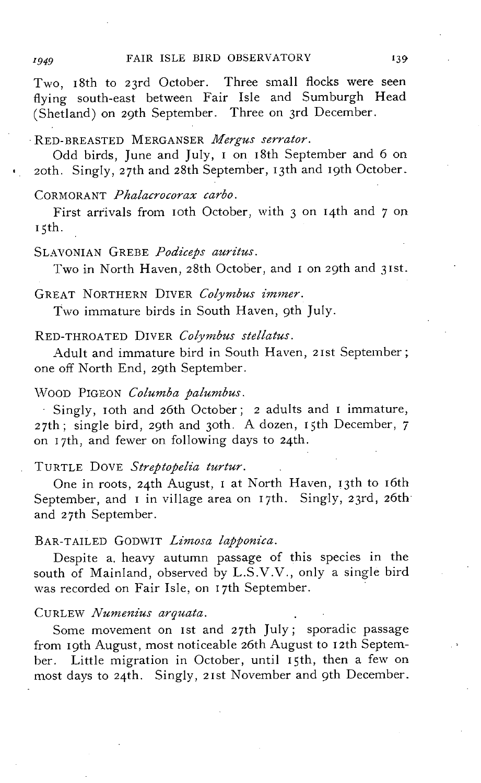Two, I8th to 23rd October. Three small flocks were seen flying south-east between Fair Isle and Sumburgh Head (Shetland) on 29th September. Three on 3rd December.

# RED-BREASTED MERGANSER *Mergus serrator.*

Odd birds, June and July, I on I8th September and 6 on 20th. Singly, 27th and 28th September, I3th and I9th October.

# CORMORANT *Phalacrocorax carbo.*

First arrivals from IOth October, with 3 on 14th and 7 on  $I$ 5th.

# SLAVONIAN GREBE Podiceps auritus.

Two in North Haven, 28th October, and I on 29th and 3Ist.

# GREAT NORTHERN DIVER *Colymbus immer.*

Two immature birds in South Haven, 9th July.

RED-THROATED DIVER *Colymbus stellatus*.

Adult and immature bird in South Haven, 2Ist September; one off North End, 29th September.

# \\TOOD PIGEON *Columba palumbus.*

Singly, IOth and 26th October; 2 adults and I immature, 27th; single bird, 29th and 30th. A dozen, 15th December, 7 on I 7th, and fewer on following days to 24th.

# TURTLE DOVE Streptopelia turtur.

One in roots, 24th August, I at North Haven, I3th to I6th September, and I in village area on 17th. Singly, 23rd, 26th and 27th September.

# BAR-TAILED GODWIT *Limosa lapponica.*

Despite a. heavy autumn passage of this species in the south of Mainland, observed by L.S.V.V., only a single bird was recorded on Fair Isle, on I7th September.

# CURLEW *Nunzenius arquata.*

Some movement on Ist and 27th July; sporadic passage from 19th August, most noticeable 26th August to 12th September. Little migration in October, until I5th, then a few on most days to 24th. Singly, 2Ist November and 9th December.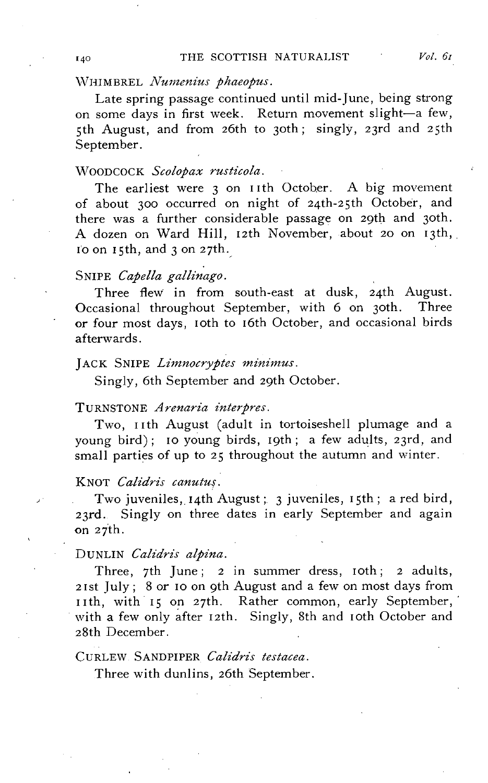Late spring passage continued until mid-June, being strong on some days in first week. Return movement slight-a few, 5th August, and from 26th to 30th; singly, 23rd and 25th September.

# ~TOODCOCK *Scolopax rusticola.*

The earliest were 3 on 11th October. A big movement of about 300 occurred on night of 24th-25th October, and there was a further considerable passage on 29th and 30th. A dozen on Ward Hill, 12th November, about 20 on 13th,  $1'$ o on  $15$ th, and  $3$  on  $27$ th.

# SNIPE *Capella gallinago.*

Three flew in from south-east at dusk, 24th August. Occasional throughout September, with 6 on 30th. Three or four most days, loth to 16th October, and occasional birds afterwards.

#### JACK SNIPE *Limnocryptes minimus*.

Singly, 6th September and 29th October.

#### TURNSTONE *A renaria interpres.*

Two, 11th August (adult in tortoiseshell plumage and a young bird); IO young birds, 19th; a few adults, 23rd, and small parties of up to 25 throughout the autumn and winter.

#### KNOT *Calidris canutu{.*

Two juveniles, 14th August; 3 juveniles, 15th; a red bird, 23rd. Singly on three dates in early September and again on 27th.

# DUNLIN *Calidris alpina.*

Three, 7th June; 2 in summer dress, 10th; 2 adults, 21st July; 8 or 10 on 9th August and a few on most days from 11th, with 15 on 27th. Rather common, early September, with a few only after 12th. Singly, 8th and 10th October and 28th December.

# CURLEW SANDPIPER *Calidris testacea.*

Three with dunlins, 26th September.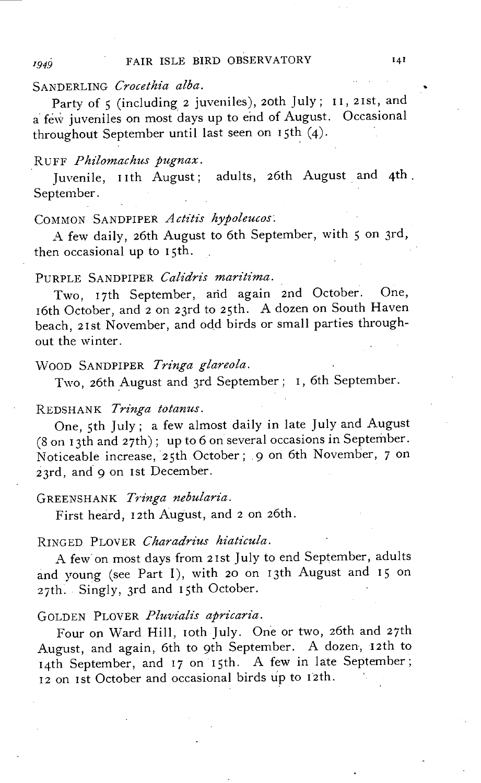# SANDERLING *Crocethia alba.*

Party of 5 (including 2 juveniles), 20th July; 11, 21st, and a few juveniles on most days up to end of August. Occasional throughout September until last seen on 15th (4).

# RUFF *PMlomachus pugnax.*

Juvenile, 11th August; adults, 26th August and 4th, September,

# COMMON SANDPIPER Actitis hypoleucos.

A few daily, 26th August to 6th September, with 5 on 3rd, then occasional up to 15th.

# PURPLE SANDPIPER *Calidris maritima.*

Two, 17th September, and again 2nd October. One, 16th October, and 2 on 23rd to 25th. A dozen on South Haven beach, 21st November, and odd birds or small parties throughout the winter.

# "VOOD SANDPIPER *Tringa glareola,*

Two, 26th August and 3rd September; I, 6th September.

# REDSHANK *Tringa totanus.*

One, 5th July; a few almost daily in late July and August  $(8 \text{ on } 13 \text{th and } 27 \text{th})$ ; up to 6 on several occasions in September. Noticeable increase, 25th October; 9 on 6th November, 7 on 23rd, and 9 on 1st December.

#### GREENSHANK *Tn'nga nebularia.*

First heard, 12th August, and 2 on 26th.

# RINGED PLOVER *Charadrius hiaticula*.

A few' on most days from 21st July to end September, adults and young (see Part I), with 20 on 13th August and 15 on 27th. Singly, 3rd and 15th October.

# GOLDEN PLOVER Pluvialis apricaria.

Four on Ward Hill, 10th July. One or two, 26th and 27th August, and again, 6th to 9th September. A dozen, 12th to 14th September, and 17 on 15th. A few in late September; 12 on 1st October and occasional birds up to 12th.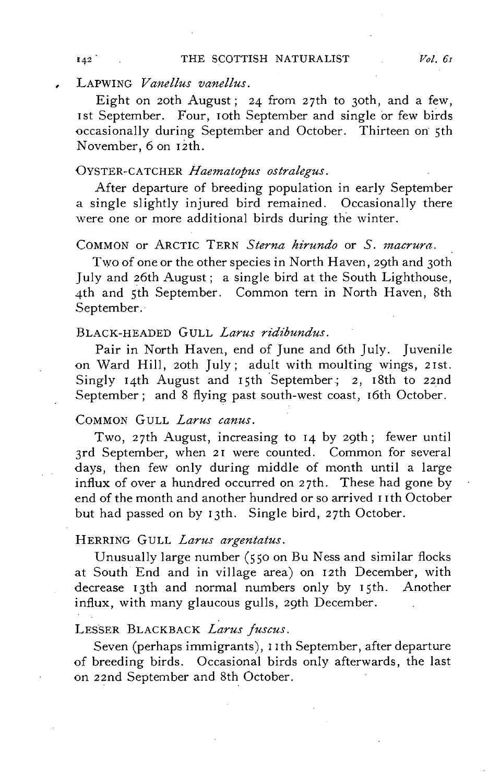LAPWING *Vanellus vanellus.* 

Eight on 20th August; 24 from 27th to 30th, and a few, 1st September. Four, 10th September and single or few birds occasionally during September and October. Thirteen on 5th November, 6 on 12th.

# OYSTER-CATCHER *Haematopus ostralegus*.

After departure of breeding population in early September a single slightly injured bird remained. Occasionally there were one or more additional birds during the winter.

# COMMON or ARCTIC TERN *Sterna hirundo* or *S. macrura.*

Two of one or the other species in North Haven, 29th and 30th July and 26th August; a single bird at the South Lighthouse, 4th and 5th September. Common tern in North Haven, 8th September.

# BLACK-HEADED GULL *Larus ridibundus.*

Pair in North Haven, end of June and 6th July. Juvenile on Ward Hill, 20th July; adult with moulting wings, 21st. Singly 14th August and 15th September; 2, 18th to 22nd September; and 8 flying past south-west coast, 16th October.

# COMMON GULL *Larus canus.*

Two, 27th August, increasing to 14 by 29th; fewer until 3rd September, when 21 were counted. Common for several days, then few only during middle of month until a large influx of over a hundred occurred on 27th. These had gone by end of the month and another hundred or so arrived 11th October but had passed on by 13th. Single bird, 27th October.

### HERRING GULL *Larus argentatus.*

Unusually large number (550 on Bu Ness and similar flocks at South End and in village area) on 12th December, with decrease 13th and normal numbers only by 15th. Another influx, with many glaucous gulls, 29th December.

# LESSER BLACKBACK *Larus juscus.*

Seven (perhaps immigrants), I Ith September, after departure of breeding birds. Occasional birds only afterwards, the last on 22nd September and 8th October.

 $142$